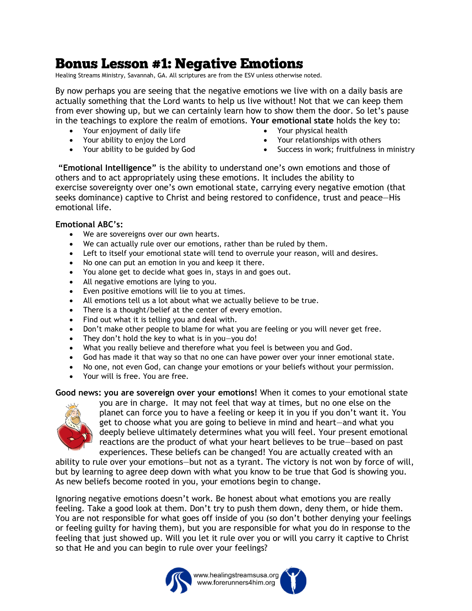## **Bonus Lesson #1: Negative Emotions**

Healing Streams Ministry, Savannah, GA. All scriptures are from the ESV unless otherwise noted.

By now perhaps you are seeing that the negative emotions we live with on a daily basis are actually something that the Lord wants to help us live without! Not that we can keep them from ever showing up, but we can certainly learn how to show them the door. So let's pause in the teachings to explore the realm of emotions. **Your emotional state** holds the key to:

- Your enjoyment of daily life
- Your ability to enjoy the Lord
- Your ability to be guided by God
- Your physical health
- Your relationships with others
- Success in work; fruitfulness in ministry

**"Emotional Intelligence"** is the ability to understand one's own emotions and those of others and to act appropriately using these emotions. It includes the ability to exercise sovereignty over one's own emotional state, carrying every negative emotion (that seeks dominance) captive to Christ and being restored to confidence, trust and peace—His emotional life.

## **Emotional ABC's:**

- We are sovereigns over our own hearts.
- We can actually rule over our emotions, rather than be ruled by them.
- Left to itself your emotional state will tend to overrule your reason, will and desires.
- No one can put an emotion in you and keep it there.
- You alone get to decide what goes in, stays in and goes out.
- All negative emotions are lying to you.
- Even positive emotions will lie to you at times.
- All emotions tell us a lot about what we actually believe to be true.
- There is a thought/belief at the center of every emotion.
- Find out what it is telling you and deal with.
- Don't make other people to blame for what you are feeling or you will never get free.
- They don't hold the key to what is in you-you do!
- What you really believe and therefore what you feel is between you and God.
- God has made it that way so that no one can have power over your inner emotional state.
- No one, not even God, can change your emotions or your beliefs without your permission.
- Your will is free. You are free.

**Good news: you are sovereign over your emotions!** When it comes to your emotional state



you are in charge. It may not feel that way at times, but no one else on the planet can force you to have a feeling or keep it in you if you don't want it. You get to choose what you are going to believe in mind and heart—and what you deeply believe ultimately determines what you will feel. Your present emotional reactions are the product of what your heart believes to be true—based on past experiences. These beliefs can be changed! You are actually created with an

ability to rule over your emotions—but not as a tyrant. The victory is not won by force of will, but by learning to agree deep down with what you know to be true that God is showing you. As new beliefs become rooted in you, your emotions begin to change.

Ignoring negative emotions doesn't work. Be honest about what emotions you are really feeling. Take a good look at them. Don't try to push them down, deny them, or hide them. You are not responsible for what goes off inside of you (so don't bother denying your feelings or feeling guilty for having them), but you are responsible for what you do in response to the feeling that just showed up. Will you let it rule over you or will you carry it captive to Christ so that He and you can begin to rule over your feelings?